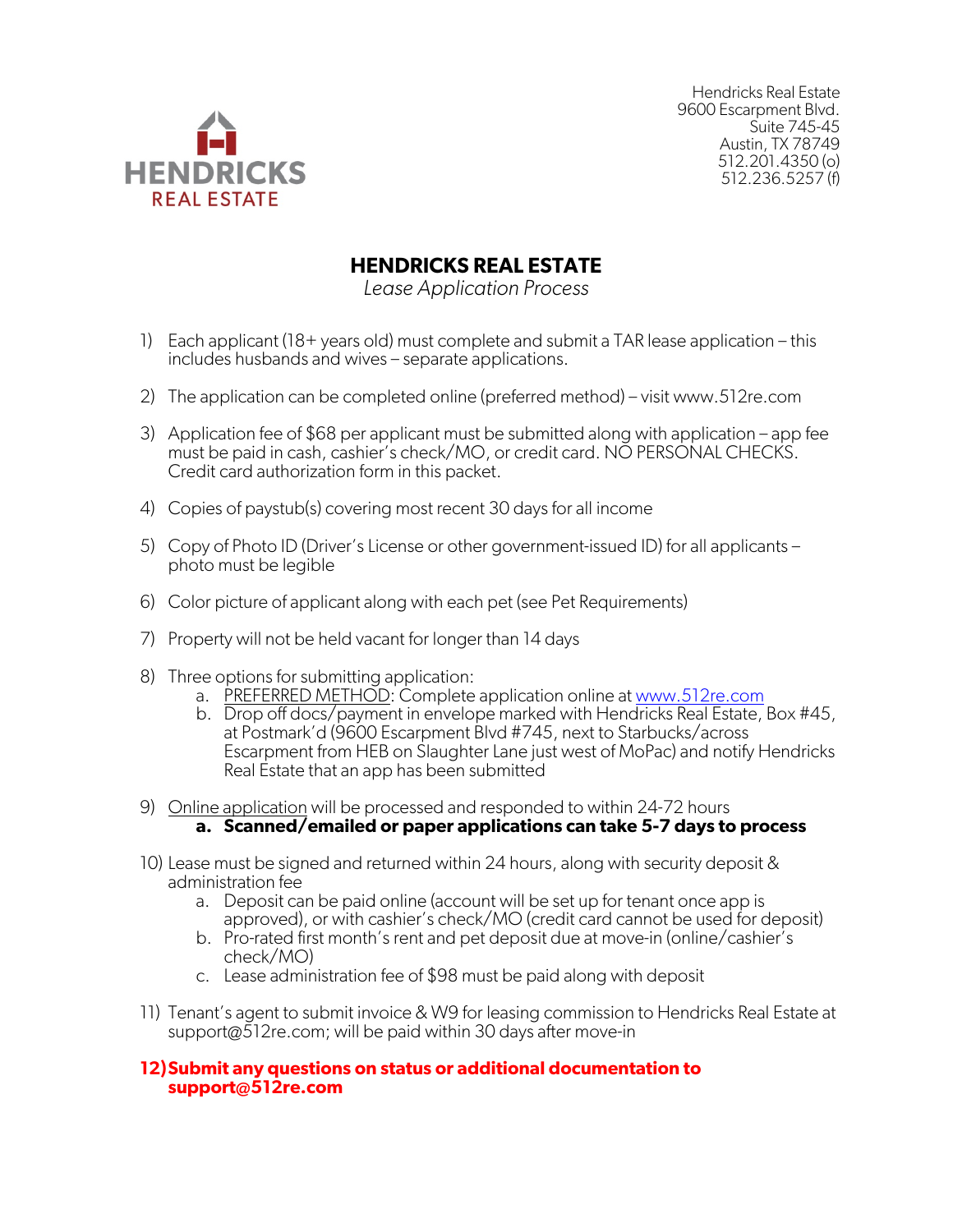

Hendricks Real Estate 9600 Escarpment Blvd. Suite 745-45 Austin, TX 78749 512.201.4350 (o) 512.236.5257 (f)

## **HENDRICKS REAL ESTATE**

*Lease Application Process*

- 1) Each applicant (18+ years old) must complete and submit a TAR lease application this includes husbands and wives – separate applications.
- 2) The application can be completed online (preferred method) visit www.512re.com
- 3) Application fee of \$68 per applicant must be submitted along with application app fee must be paid in cash, cashier's check/MO, or credit card. NO PERSONAL CHECKS. Credit card authorization form in this packet.
- 4) Copies of paystub(s) covering most recent 30 days for all income
- 5) Copy of Photo ID (Driver's License or other government-issued ID) for all applicants photo must be legible
- 6) Color picture of applicant along with each pet (see Pet Requirements)
- 7) Property will not be held vacant for longer than 14 days
- 8) Three options for submitting application:
	- a. PREFERRED METHOD: Complete application online at www.512re.com
	- b. Drop off docs/payment in envelope marked with Hendricks Real Estate, Box #45, at Postmark'd (9600 Escarpment Blvd #745, next to Starbucks/across Escarpment from HEB on Slaughter Lane just west of MoPac) and notify Hendricks Real Estate that an app has been submitted
- 9) Online application will be processed and responded to within 24-72 hours **a. Scanned/emailed or paper applications can take 5-7 days to process**
- 10) Lease must be signed and returned within 24 hours, along with security deposit & administration fee
	- a. Deposit can be paid online (account will be set up for tenant once app is approved), or with cashier's check/MO (credit card cannot be used for deposit)
	- b. Pro-rated first month's rent and pet deposit due at move-in (online/cashier's check/MO)
	- c. Lease administration fee of \$98 must be paid along with deposit
- 11) Tenant's agent to submit invoice & W9 for leasing commission to Hendricks Real Estate at support@512re.com; will be paid within 30 days after move-in

#### **12)Submit any questions on status or additional documentation to support@512re.com**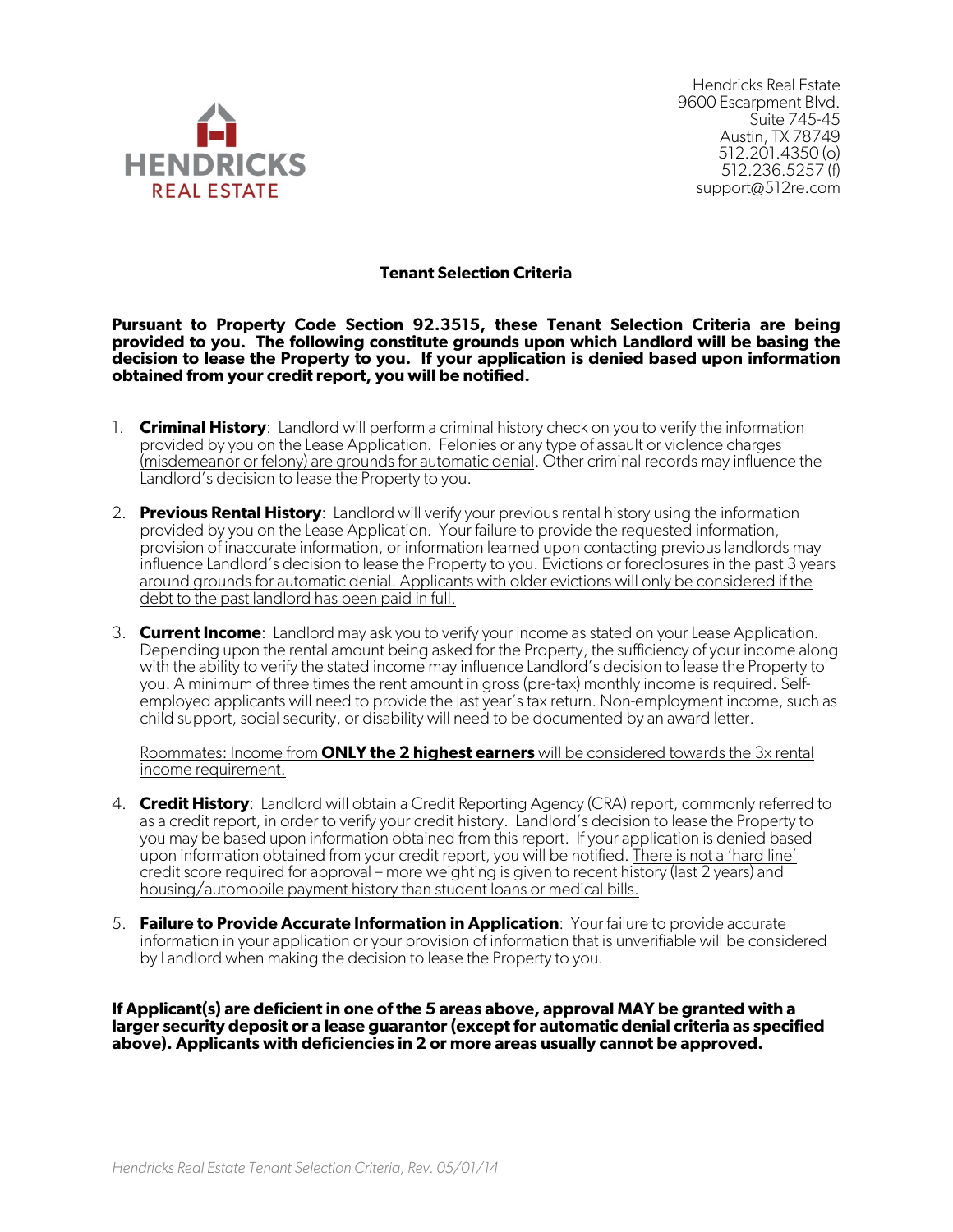

Hendricks Real Estate 9600 Escarpment Blvd. Suite 745-45 Austin, TX 78749 512.201.4350 (o) 512.236.5257 (f) support@512re.com

#### **Tenant Selection Criteria**

**Pursuant to Property Code Section 92.3515, these Tenant Selection Criteria are being provided to you. The following constitute grounds upon which Landlord will be basing the decision to lease the Property to you. If your application is denied based upon information obtained from your credit report, you will be notified.** 

- 1. **Criminal History**: Landlord will perform a criminal history check on you to verify the information provided by you on the Lease Application. Felonies or any type of assault or violence charges (misdemeanor or felony) are grounds for automatic denial. Other criminal records may influence the Landlord's decision to lease the Property to you.
- 2. **Previous Rental History**: Landlord will verify your previous rental history using the information provided by you on the Lease Application. Your failure to provide the requested information, provision of inaccurate information, or information learned upon contacting previous landlords may influence Landlord's decision to lease the Property to you. Evictions or foreclosures in the past 3 years around grounds for automatic denial. Applicants with older evictions will only be considered if the debt to the past landlord has been paid in full.
- 3. **Current Income**: Landlord may ask you to verify your income as stated on your Lease Application. Depending upon the rental amount being asked for the Property, the sufficiency of your income along with the ability to verify the stated income may influence Landlord's decision to lease the Property to you. A minimum of three times the rent amount in gross (pre-tax) monthly income is required. Selfemployed applicants will need to provide the last year's tax return. Non-employment income, such as child support, social security, or disability will need to be documented by an award letter.

Roommates: Income from **ONLY the 2 highest earners** will be considered towards the 3x rental income requirement.

- 4. **Credit History**: Landlord will obtain a Credit Reporting Agency (CRA) report, commonly referred to as a credit report, in order to verify your credit history. Landlord's decision to lease the Property to you may be based upon information obtained from this report. If your application is denied based upon information obtained from your credit report, you will be notified. There is not a 'hard line' credit score required for approval – more weighting is given to recent history (last 2 years) and housing/automobile payment history than student loans or medical bills.
- 5. **Failure to Provide Accurate Information in Application**: Your failure to provide accurate information in your application or your provision of information that is unverifiable will be considered by Landlord when making the decision to lease the Property to you.

**If Applicant(s) are deficient in one of the 5 areas above, approval MAY be granted with a larger security deposit or a lease guarantor (except for automatic denial criteria as specified above). Applicants with deficiencies in 2 or more areas usually cannot be approved.**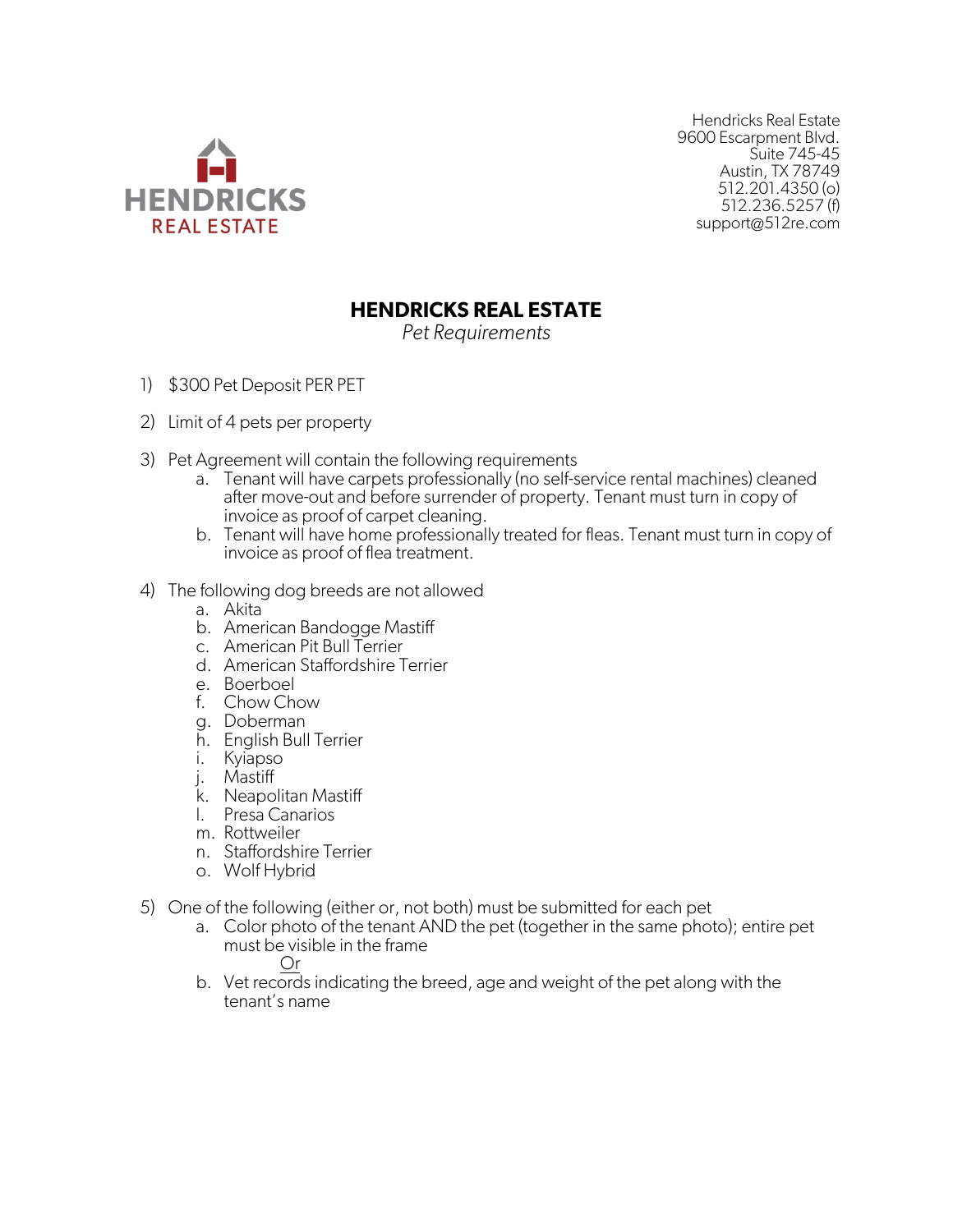

Hendricks Real Estate 9600 Escarpment Blvd. Suite 745-45 Austin, TX 78749 512.201.4350 (o) 512.236.5257 (f) support@512re.com

## **HENDRICKS REAL ESTATE**

*Pet Requirements*

- 1) \$300 Pet Deposit PER PET
- 2) Limit of 4 pets per property
- 3) Pet Agreement will contain the following requirements
	- a. Tenant will have carpets professionally (no self-service rental machines) cleaned after move-out and before surrender of property. Tenant must turn in copy of invoice as proof of carpet cleaning.
	- b. Tenant will have home professionally treated for fleas. Tenant must turn in copy of invoice as proof of flea treatment.
- 4) The following dog breeds are not allowed
	- a. Akita
	- b. American Bandogge Mastiff
	- c. American Pit Bull Terrier
	- d. American Staffordshire Terrier
	- e. Boerboel
	- f. Chow Chow
	- g. Doberman
	- h. English Bull Terrier
	- i. Kyiapso
	- j. Mastiff
	- k. Neapolitan Mastiff
	- l. Presa Canarios
	- m. Rottweiler
	- n. Staffordshire Terrier
	- o. Wolf Hybrid
- 5) One of the following (either or, not both) must be submitted for each pet
	- a. Color photo of the tenant AND the pet (together in the same photo); entire pet must be visible in the frame
		- Or
	- b. Vet records indicating the breed, age and weight of the pet along with the tenant's name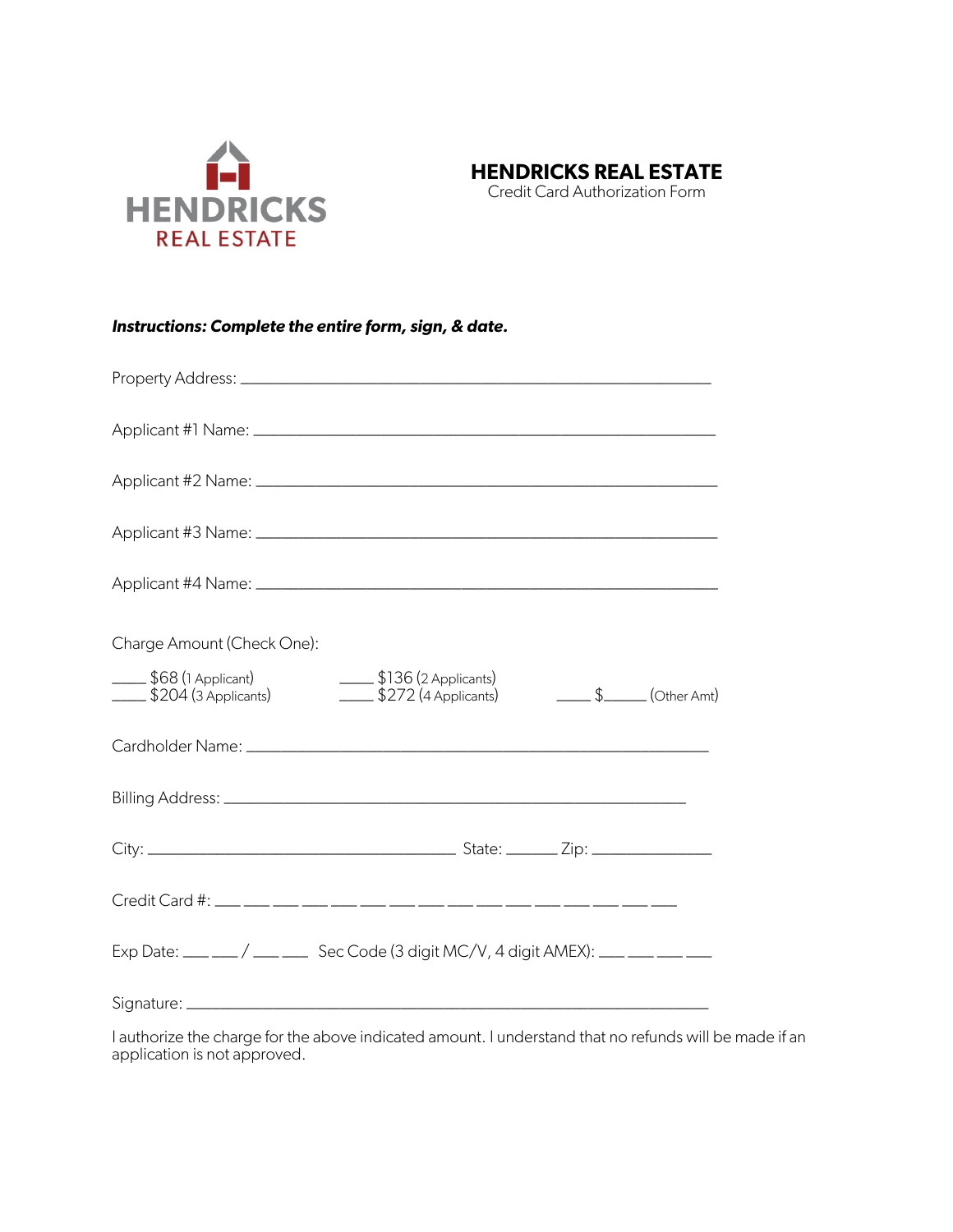



Credit Card Authorization Form

| Instructions: Complete the entire form, sign, & date. |  |  |  |
|-------------------------------------------------------|--|--|--|
|-------------------------------------------------------|--|--|--|

| Charge Amount (Check One):                                                      |
|---------------------------------------------------------------------------------|
|                                                                                 |
|                                                                                 |
|                                                                                 |
|                                                                                 |
|                                                                                 |
| Exp Date: ___ __/ ___ __ Sec Code (3 digit MC/V, 4 digit AMEX): ___ __ __ __ __ |
|                                                                                 |

I authorize the charge for the above indicated amount. I understand that no refunds will be made if an application is not approved.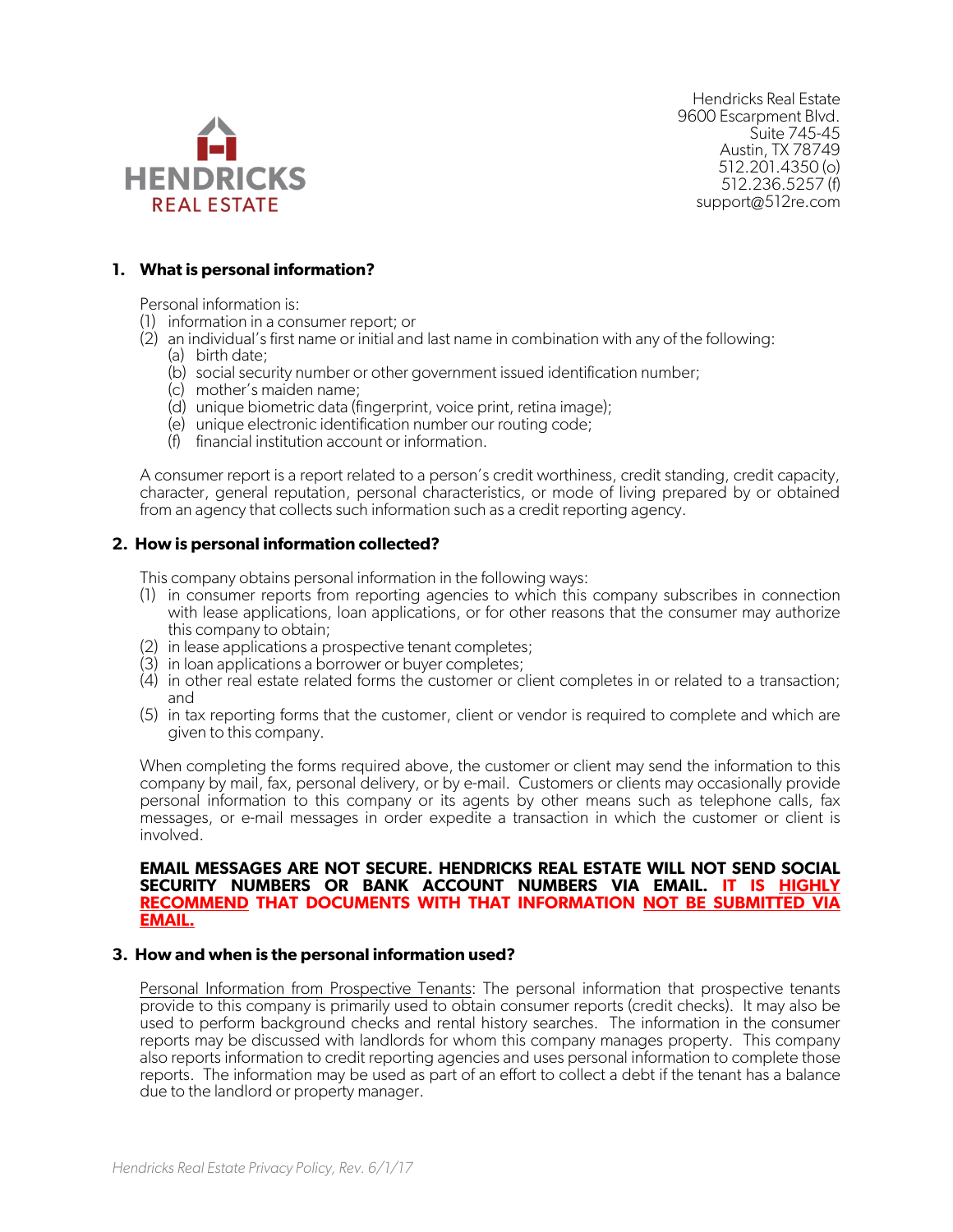

Hendricks Real Estate 9600 Escarpment Blvd. Suite 745-45 Austin, TX 78749 512.201.4350 (o) 512.236.5257 (f) support@512re.com

#### **1. What is personal information?**

Personal information is:

- (1) information in a consumer report; or
- (2) an individual's first name or initial and last name in combination with any of the following:
	- (a) birth date;
	- (b) social security number or other government issued identification number;
	- (c) mother's maiden name;
	- (d) unique biometric data (fingerprint, voice print, retina image);
	- (e) unique electronic identification number our routing code;
	- (f) financial institution account or information.

A consumer report is a report related to a person's credit worthiness, credit standing, credit capacity, character, general reputation, personal characteristics, or mode of living prepared by or obtained from an agency that collects such information such as a credit reporting agency.

#### **2. How is personal information collected?**

This company obtains personal information in the following ways:

- (1) in consumer reports from reporting agencies to which this company subscribes in connection with lease applications, loan applications, or for other reasons that the consumer may authorize this company to obtain;
- (2) in lease applications a prospective tenant completes;
- (3) in loan applications a borrower or buyer completes;
- (4) in other real estate related forms the customer or client completes in or related to a transaction; and
- (5) in tax reporting forms that the customer, client or vendor is required to complete and which are given to this company.

When completing the forms required above, the customer or client may send the information to this company by mail, fax, personal delivery, or by e-mail. Customers or clients may occasionally provide personal information to this company or its agents by other means such as telephone calls, fax messages, or e-mail messages in order expedite a transaction in which the customer or client is involved.

#### **EMAIL MESSAGES ARE NOT SECURE. HENDRICKS REAL ESTATE WILL NOT SEND SOCIAL SECURITY NUMBERS OR BANK ACCOUNT NUMBERS VIA EMAIL. IT IS HIGHLY RECOMMEND THAT DOCUMENTS WITH THAT INFORMATION NOT BE SUBMITTED VIA EMAIL.**

#### **3. How and when is the personal information used?**

Personal Information from Prospective Tenants: The personal information that prospective tenants provide to this company is primarily used to obtain consumer reports (credit checks). It may also be used to perform background checks and rental history searches. The information in the consumer reports may be discussed with landlords for whom this company manages property. This company also reports information to credit reporting agencies and uses personal information to complete those reports. The information may be used as part of an effort to collect a debt if the tenant has a balance due to the landlord or property manager.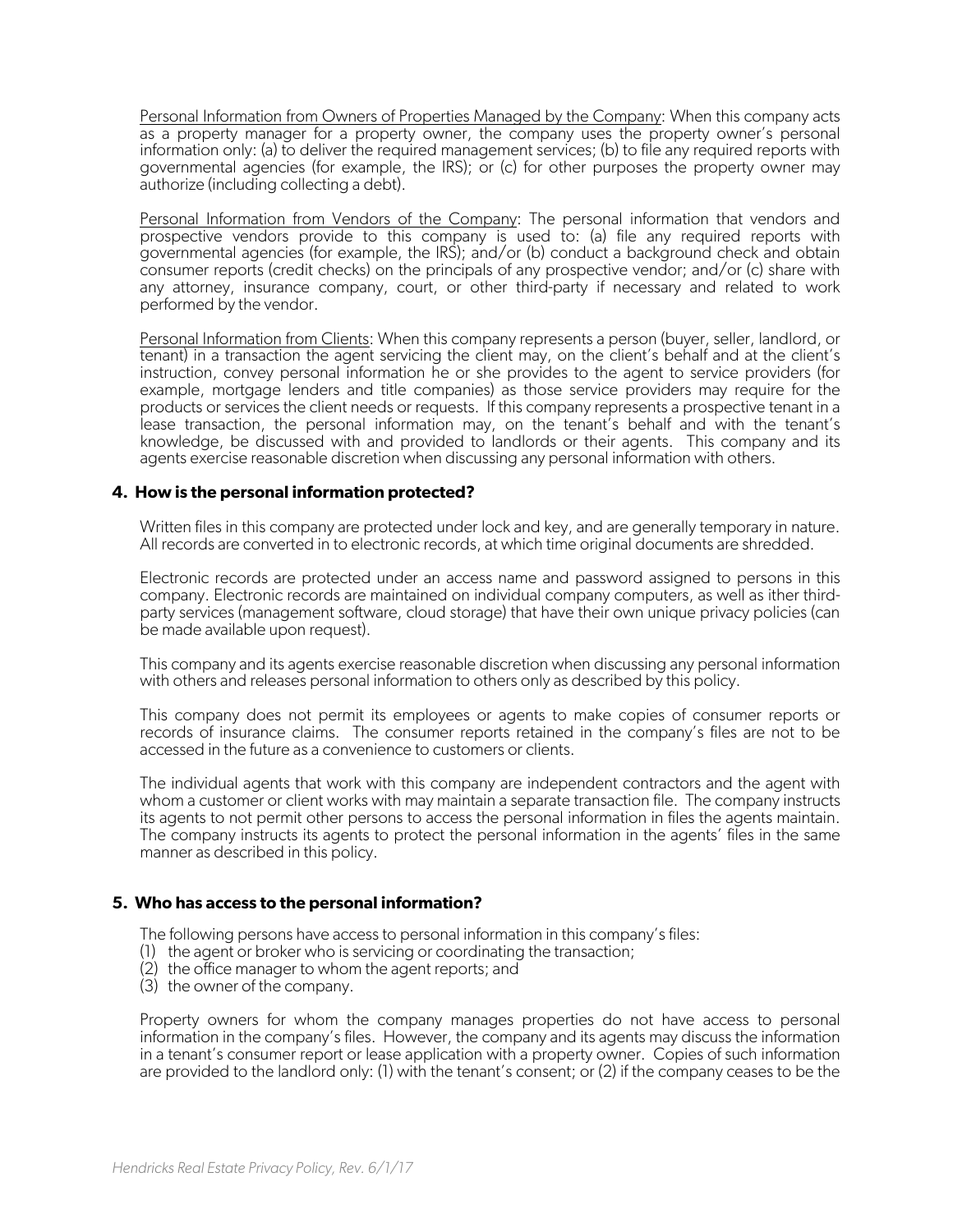Personal Information from Owners of Properties Managed by the Company: When this company acts as a property manager for a property owner, the company uses the property owner's personal information only: (a) to deliver the required management services; (b) to file any required reports with governmental agencies (for example, the IRS); or (c) for other purposes the property owner may authorize (including collecting a debt).

Personal Information from Vendors of the Company: The personal information that vendors and prospective vendors provide to this company is used to: (a) file any required reports with governmental agencies (for example, the IRS); and/or (b) conduct a background check and obtain consumer reports (credit checks) on the principals of any prospective vendor; and/or (c) share with any attorney, insurance company, court, or other third-party if necessary and related to work performed by the vendor.

Personal Information from Clients: When this company represents a person (buyer, seller, landlord, or tenant) in a transaction the agent servicing the client may, on the client's behalf and at the client's instruction, convey personal information he or she provides to the agent to service providers (for example, mortgage lenders and title companies) as those service providers may require for the products or services the client needs or requests. If this company represents a prospective tenant in a lease transaction, the personal information may, on the tenant's behalf and with the tenant's knowledge, be discussed with and provided to landlords or their agents. This company and its agents exercise reasonable discretion when discussing any personal information with others.

#### **4. How is the personal information protected?**

Written files in this company are protected under lock and key, and are generally temporary in nature. All records are converted in to electronic records, at which time original documents are shredded.

Electronic records are protected under an access name and password assigned to persons in this company. Electronic records are maintained on individual company computers, as well as ither thirdparty services (management software, cloud storage) that have their own unique privacy policies (can be made available upon request).

This company and its agents exercise reasonable discretion when discussing any personal information with others and releases personal information to others only as described by this policy.

This company does not permit its employees or agents to make copies of consumer reports or records of insurance claims. The consumer reports retained in the company's files are not to be accessed in the future as a convenience to customers or clients.

The individual agents that work with this company are independent contractors and the agent with whom a customer or client works with may maintain a separate transaction file. The company instructs<br>its agents to not permit other persons to access the personal information in files the agents maintain. The company instructs its agents to protect the personal information in the agents' files in the same manner as described in this policy.

#### **5. Who has access to the personal information?**

The following persons have access to personal information in this company's files:

- (1) the agent or broker who is servicing or coordinating the transaction;
- (2) the office manager to whom the agent reports; and
- (3) the owner of the company.

Property owners for whom the company manages properties do not have access to personal information in the company's files. However, the company and its agents may discuss the information in a tenant's consumer report or lease application with a property owner. Copies of such information are provided to the landlord only: (1) with the tenant's consent; or (2) if the company ceases to be the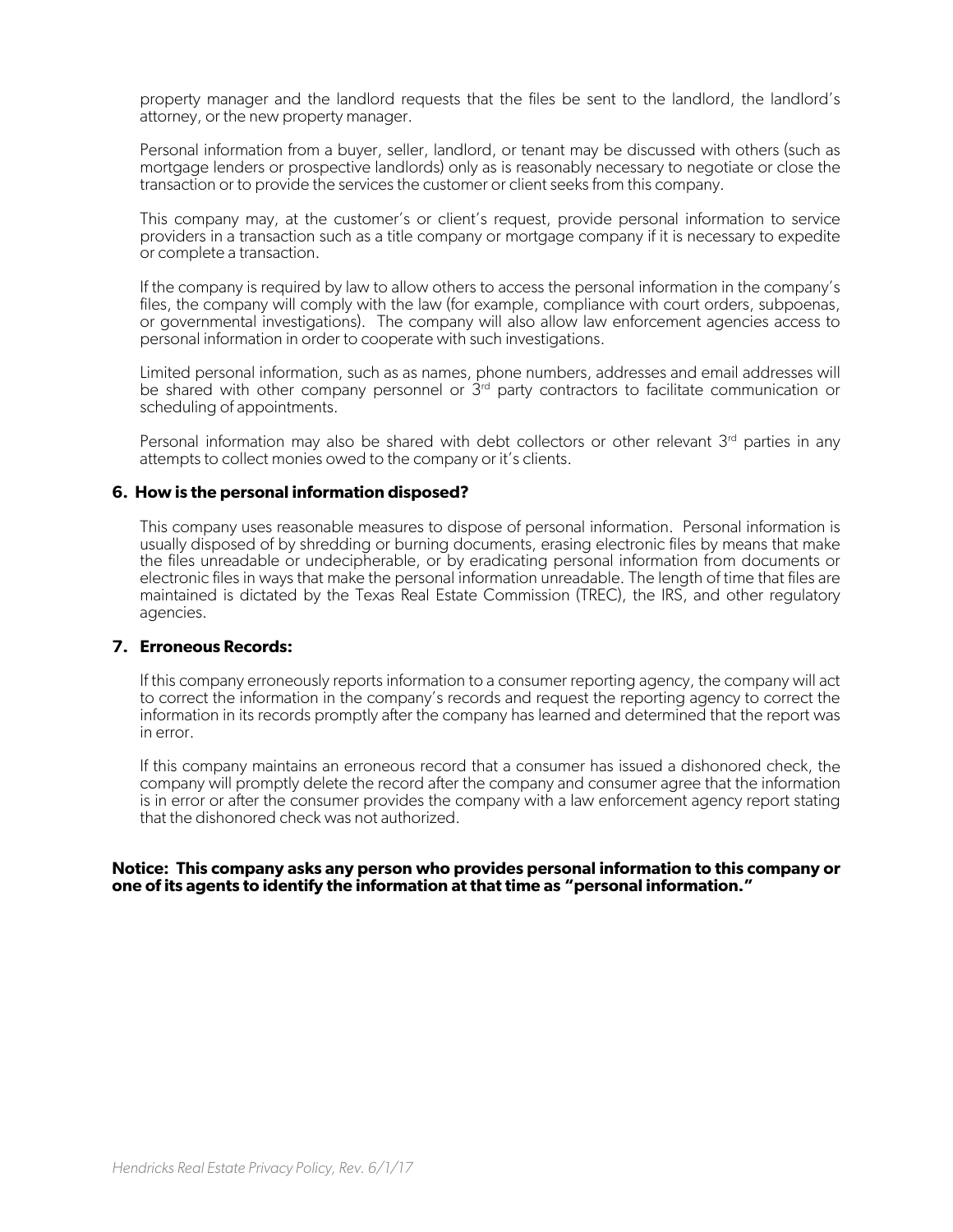property manager and the landlord requests that the files be sent to the landlord, the landlord's attorney, or the new property manager.

Personal information from a buyer, seller, landlord, or tenant may be discussed with others (such as mortgage lenders or prospective landlords) only as is reasonably necessary to negotiate or close the transaction or to provide the services the customer or client seeks from this company.

This company may, at the customer's or client's request, provide personal information to service providers in a transaction such as a title company or mortgage company if it is necessary to expedite or complete a transaction.

If the company is required by law to allow others to access the personal information in the company's files, the company will comply with the law (for example, compliance with court orders, subpoenas, or governmental investigations). The company will also allow law enforcement agencies access to personal information in order to cooperate with such investigations.

Limited personal information, such as as names, phone numbers, addresses and email addresses will be shared with other company personnel or  $3<sup>rd</sup>$  party contractors to facilitate communication or scheduling of appointments.

Personal information may also be shared with debt collectors or other relevant 3<sup>rd</sup> parties in any attempts to collect monies owed to the company or it's clients.

#### **6. How is the personal information disposed?**

This company uses reasonable measures to dispose of personal information. Personal information is usually disposed of by shredding or burning documents, erasing electronic files by means that make the files unreadable or undecipherable, or by eradicating personal information from documents or electronic files in ways that make the personal information unreadable. The length of time that files are maintained is dictated by the Texas Real Estate Commission (TREC), the IRS, and other regulatory agencies.

#### **7. Erroneous Records:**

If this company erroneously reports information to a consumer reporting agency, the company will act to correct the information in the company's records and request the reporting agency to correct the information in its records promptly after the company has learned and determined that the report was in error.

If this company maintains an erroneous record that a consumer has issued a dishonored check, the company will promptly delete the record after the company and consumer agree that the information is in error or after the consumer provides the company with a law enforcement agency report stating that the dishonored check was not authorized.

#### **Notice: This company asks any person who provides personal information to this company or one of its agents to identify the information at that time as "personal information."**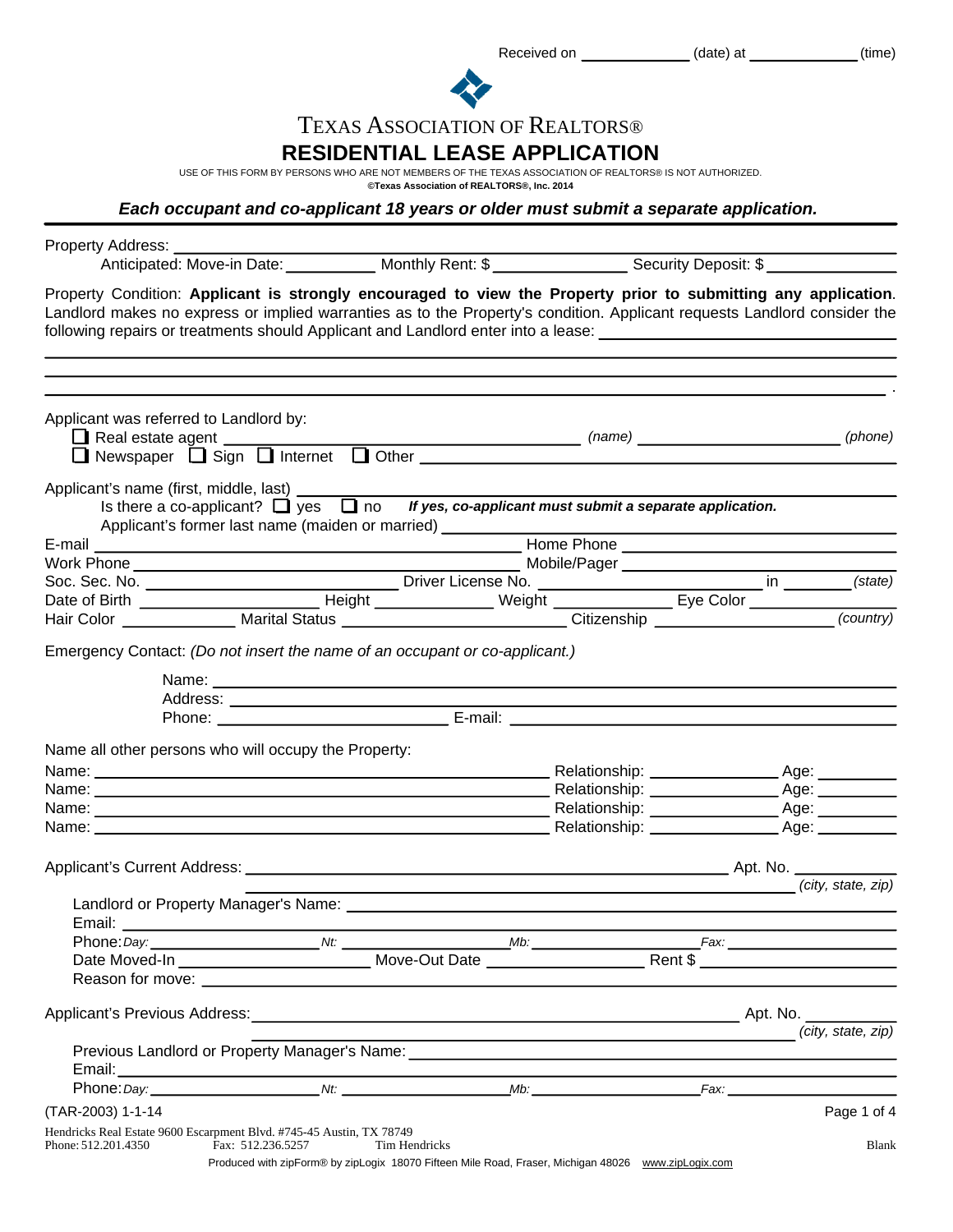Received on \_\_\_\_\_\_\_\_\_\_\_\_\_(date) at \_\_\_\_\_\_\_\_\_\_\_(time)



# TEXAS ASSOCIATION OF REALTORS®

## **RESIDENTIAL LEASE APPLICATION**

USE OF THIS FORM BY PERSONS WHO ARE NOT MEMBERS OF THE TEXAS ASSOCIATION OF REALTORS® IS NOT AUTHORIZED.

**©Texas Association of REALTORS®, Inc. 2014**

*Each occupant and co-applicant 18 years or older must submit a separate application.*

| Property Address: ___________                                                                                                                                                                                                                                                                                                                                 |               |                    |                   |             |
|---------------------------------------------------------------------------------------------------------------------------------------------------------------------------------------------------------------------------------------------------------------------------------------------------------------------------------------------------------------|---------------|--------------------|-------------------|-------------|
| Property Condition: Applicant is strongly encouraged to view the Property prior to submitting any application.<br>Landlord makes no express or implied warranties as to the Property's condition. Applicant requests Landlord consider the<br>following repairs or treatments should Applicant and Landlord enter into a lease: [16] The manner of the manner |               |                    |                   |             |
|                                                                                                                                                                                                                                                                                                                                                               |               |                    |                   |             |
| Applicant was referred to Landlord by:                                                                                                                                                                                                                                                                                                                        |               |                    |                   |             |
| Applicant's name (first, middle, last) _________<br>Is there a co-applicant? $\Box$ yes $\Box$ no If yes, co-applicant must submit a separate application.<br>Applicant's former last name (maiden or married) _____________                                                                                                                                  |               |                    |                   |             |
|                                                                                                                                                                                                                                                                                                                                                               |               |                    |                   |             |
|                                                                                                                                                                                                                                                                                                                                                               |               |                    |                   |             |
|                                                                                                                                                                                                                                                                                                                                                               |               |                    |                   |             |
|                                                                                                                                                                                                                                                                                                                                                               |               |                    |                   |             |
| Emergency Contact: (Do not insert the name of an occupant or co-applicant.)                                                                                                                                                                                                                                                                                   |               |                    |                   |             |
|                                                                                                                                                                                                                                                                                                                                                               |               |                    |                   |             |
|                                                                                                                                                                                                                                                                                                                                                               |               |                    |                   |             |
|                                                                                                                                                                                                                                                                                                                                                               |               |                    |                   |             |
| Name all other persons who will occupy the Property:                                                                                                                                                                                                                                                                                                          |               |                    |                   |             |
|                                                                                                                                                                                                                                                                                                                                                               |               |                    |                   |             |
|                                                                                                                                                                                                                                                                                                                                                               |               |                    |                   |             |
|                                                                                                                                                                                                                                                                                                                                                               |               |                    |                   |             |
|                                                                                                                                                                                                                                                                                                                                                               |               |                    |                   |             |
|                                                                                                                                                                                                                                                                                                                                                               |               |                    |                   |             |
|                                                                                                                                                                                                                                                                                                                                                               |               |                    | city, state, zip) |             |
|                                                                                                                                                                                                                                                                                                                                                               |               |                    |                   |             |
|                                                                                                                                                                                                                                                                                                                                                               |               |                    |                   |             |
|                                                                                                                                                                                                                                                                                                                                                               |               |                    |                   |             |
|                                                                                                                                                                                                                                                                                                                                                               |               |                    |                   |             |
|                                                                                                                                                                                                                                                                                                                                                               |               |                    |                   |             |
|                                                                                                                                                                                                                                                                                                                                                               |               | (city, state, zip) |                   |             |
|                                                                                                                                                                                                                                                                                                                                                               |               |                    |                   |             |
|                                                                                                                                                                                                                                                                                                                                                               |               |                    |                   |             |
|                                                                                                                                                                                                                                                                                                                                                               |               |                    |                   |             |
| (TAR-2003) 1-1-14                                                                                                                                                                                                                                                                                                                                             |               |                    |                   | Page 1 of 4 |
| Hendricks Real Estate 9600 Escarpment Blvd. #745-45 Austin, TX 78749<br>Phone: 512.201.4350<br>Fax: 512.236.5257                                                                                                                                                                                                                                              | Tim Hendricks |                    |                   | Blank       |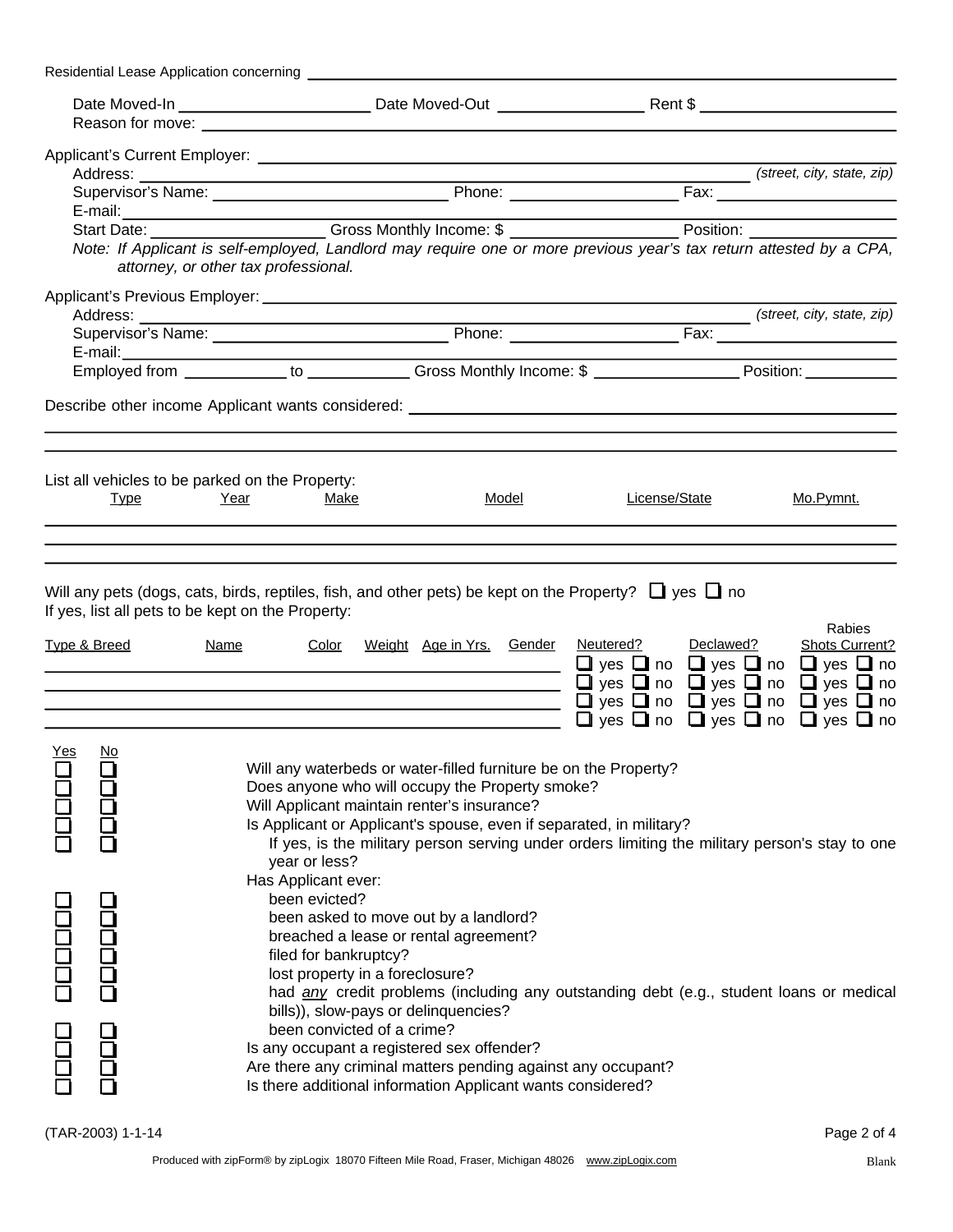|                     |                            | Reason for move: <u>contract the contract of the contract of the contract of the contract of the contract of the contract of the contract of the contract of the contract of the contract of the contract of the contract of the</u> |                                                                                                                                                                                                                                                                                                       |                                                                                                                                                                                                                                                             |                                 |
|---------------------|----------------------------|--------------------------------------------------------------------------------------------------------------------------------------------------------------------------------------------------------------------------------------|-------------------------------------------------------------------------------------------------------------------------------------------------------------------------------------------------------------------------------------------------------------------------------------------------------|-------------------------------------------------------------------------------------------------------------------------------------------------------------------------------------------------------------------------------------------------------------|---------------------------------|
|                     |                            |                                                                                                                                                                                                                                      |                                                                                                                                                                                                                                                                                                       |                                                                                                                                                                                                                                                             |                                 |
|                     |                            |                                                                                                                                                                                                                                      |                                                                                                                                                                                                                                                                                                       |                                                                                                                                                                                                                                                             |                                 |
|                     |                            |                                                                                                                                                                                                                                      |                                                                                                                                                                                                                                                                                                       |                                                                                                                                                                                                                                                             |                                 |
|                     |                            |                                                                                                                                                                                                                                      |                                                                                                                                                                                                                                                                                                       |                                                                                                                                                                                                                                                             |                                 |
|                     |                            | E-mail:<br>Start Date: _____________________Gross Monthly Income: \$ _______________________Position: ___________________                                                                                                            |                                                                                                                                                                                                                                                                                                       |                                                                                                                                                                                                                                                             |                                 |
|                     |                            | Note: If Applicant is self-employed, Landlord may require one or more previous year's tax return attested by a CPA,<br>attorney, or other tax professional.                                                                          |                                                                                                                                                                                                                                                                                                       |                                                                                                                                                                                                                                                             |                                 |
|                     |                            |                                                                                                                                                                                                                                      |                                                                                                                                                                                                                                                                                                       |                                                                                                                                                                                                                                                             |                                 |
|                     |                            | Address: (street, city, state, zip)<br>Supervisor's Name: (street, city, state, zip)<br>Phone: <u>Canadian Base Fax:</u> Fax: (street, city, state, zip)                                                                             |                                                                                                                                                                                                                                                                                                       |                                                                                                                                                                                                                                                             |                                 |
|                     |                            |                                                                                                                                                                                                                                      |                                                                                                                                                                                                                                                                                                       |                                                                                                                                                                                                                                                             |                                 |
|                     |                            |                                                                                                                                                                                                                                      |                                                                                                                                                                                                                                                                                                       |                                                                                                                                                                                                                                                             |                                 |
|                     |                            | Describe other income Applicant wants considered: _______________________________                                                                                                                                                    |                                                                                                                                                                                                                                                                                                       |                                                                                                                                                                                                                                                             |                                 |
|                     | <b>Type</b>                | List all vehicles to be parked on the Property:<br>Year<br><u>Make</u>                                                                                                                                                               | Model                                                                                                                                                                                                                                                                                                 | License/State                                                                                                                                                                                                                                               | Mo.Pymnt.                       |
|                     | <b>Type &amp; Breed</b>    | If yes, list all pets to be kept on the Property:<br><u>Name</u>                                                                                                                                                                     | <u> 1989 - Johann Barn, mars ann an t-Amhain Aonaich an t-Aonaich an t-Aonaich ann an t-Aonaich ann an t-Aonaich</u><br><u> 1989 - Johann Barn, fransk politik (f. 1989)</u><br><u> 1989 - Johann John Stone, meil in der Stone aus der Stone aus der Stone aus der Stone aus der Stone aus der S</u> | Color Weight Age in Yrs. Gender Neutered? Declawed?<br>$\Box$ yes $\Box$ no $\Box$ yes $\Box$ no $\Box$ yes $\Box$ no<br><b>O</b> yes $\Box$ no $\Box$ yes $\Box$ no $\Box$ yes $\Box$ no<br>$\Box$ yes $\Box$ no $\Box$ yes $\Box$ no $\Box$ yes $\Box$ no | Rabies<br><b>Shots Current?</b> |
|                     |                            |                                                                                                                                                                                                                                      |                                                                                                                                                                                                                                                                                                       | $\Box$ yes $\Box$ no $\Box$ yes $\Box$ no $\Box$ yes $\Box$ no                                                                                                                                                                                              |                                 |
| <u>Yes</u><br>poppe | <u>No</u><br>DOOC<br>poppe | year or less?<br>Has Applicant ever:<br>been evicted?                                                                                                                                                                                | Will any waterbeds or water-filled furniture be on the Property?<br>Does anyone who will occupy the Property smoke?<br>Will Applicant maintain renter's insurance?<br>Is Applicant or Applicant's spouse, even if separated, in military?<br>been asked to move out by a landlord?                    | If yes, is the military person serving under orders limiting the military person's stay to one                                                                                                                                                              |                                 |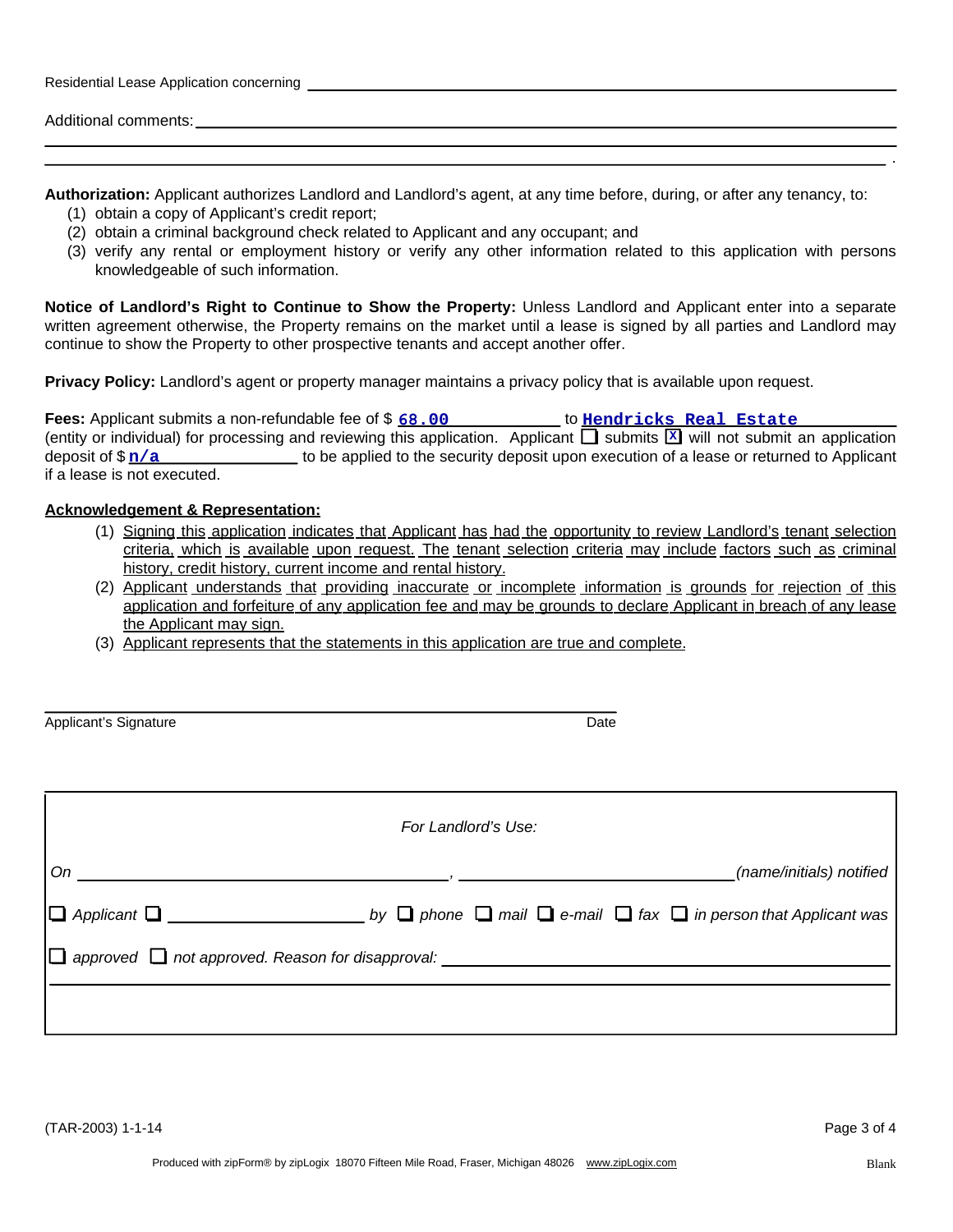| Residential Lease Application concerning |  |
|------------------------------------------|--|
|                                          |  |
| Additional comments:                     |  |

**Authorization:** Applicant authorizes Landlord and Landlord's agent, at any time before, during, or after any tenancy, to:

- (1) obtain a copy of Applicant's credit report;
- (2) obtain a criminal background check related to Applicant and any occupant; and
- (3) verify any rental or employment history or verify any other information related to this application with persons knowledgeable of such information.

**Notice of Landlord's Right to Continue to Show the Property:** Unless Landlord and Applicant enter into a separate written agreement otherwise, the Property remains on the market until a lease is signed by all parties and Landlord may continue to show the Property to other prospective tenants and accept another offer.

**Privacy Policy:** Landlord's agent or property manager maintains a privacy policy that is available upon request.

| <b>Fees:</b> Applicant submits a non-refundable fee of \$68.00                                                                       | to Hendricks Real Estate |                                                                                          |
|--------------------------------------------------------------------------------------------------------------------------------------|--------------------------|------------------------------------------------------------------------------------------|
| (entity or individual) for processing and reviewing this application. Applicant $\Box$ submits $\Box$ will not submit an application |                          |                                                                                          |
| deposit of $\frac{\pi}{a}$                                                                                                           |                          | to be applied to the security deposit upon execution of a lease or returned to Applicant |
| if a lease is not executed.                                                                                                          |                          |                                                                                          |

#### **Acknowledgement & Representation:**

- (1) Signing this application indicates that Applicant has had the opportunity to review Landlord's tenant selection criteria, which is available upon request. The tenant selection criteria may include factors such as criminal history, credit history, current income and rental history.
- (2) Applicant understands that providing inaccurate or incomplete information is grounds for rejection of this application and forfeiture of any application fee and may be grounds to declare Applicant in breach of any lease the Applicant may sign.
- (3) Applicant represents that the statements in this application are true and complete.

| Applicant's Signature | Date |
|-----------------------|------|
|                       |      |

(TAR-2003) 1-1-14 Page 3 of 4

.